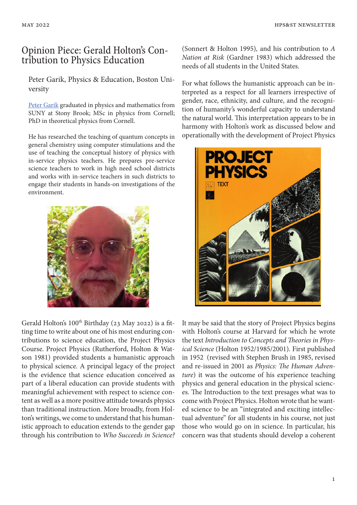## Opinion Piece: Gerald Holton's Contribution to Physics Education

Peter Garik, Physics & Education, Boston University

Peter Garik graduated in physics and mathematics from SUNY at Stony Brook; MSc in physics from Cornell; PhD in theoretical physics from Cornell.

He has researched the teaching of quantum concepts in general chemistry using computer stimulations and the use of teaching the conceptual history of physics with in-service physics teachers. He prepares pre-service science teachers to work in high need school districts and works with in-service teachers in such districts to engage their students in hands-on investigations of the environment.



Gerald Holton's  $100<sup>th</sup>$  Birthday (23 May 2022) is a fitting time to write about one of his most enduring contributions to science education, the Project Physics Course. Project Physics (Rutherford, Holton & Watson 1981) provided students a humanistic approach to physical science. A principal legacy of the project is the evidence that science education conceived as part of a liberal education can provide students with meaningful achievement with respect to science content as well as a more positive attitude towards physics than traditional instruction. More broadly, from Holton's writings, we come to understand that his humanistic approach to education extends to the gender gap through his contribution to *Who Succeeds in Science?* (Sonnert & Holton 1995)*,* and his contribution to *A Nation at Risk* (Gardner 1983) which addressed the needs of all students in the United States.

For what follows the humanistic approach can be interpreted as a respect for all learners irrespective of gender, race, ethnicity, and culture, and the recognition of humanity's wonderful capacity to understand the natural world. This interpretation appears to be in harmony with Holton's work as discussed below and operationally with the development of Project Physics



It may be said that the story of Project Physics begins with Holton's course at Harvard for which he wrote the text *Introduction to Concepts and Theories in Physical Science* (Holton 1952/1985/2001)*.* First published in 1952 (revised with Stephen Brush in 1985, revised and re-issued in 2001 as *Physics: The Human Adventure*) it was the outcome of his experience teaching physics and general education in the physical sciences. The Introduction to the text presages what was to come with Project Physics. Holton wrote that he wanted science to be an "integrated and exciting intellectual adventure" for all students in his course, not just those who would go on in science. In particular, his concern was that students should develop a coherent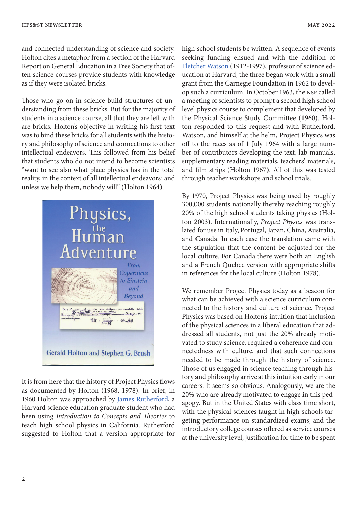and connected understanding of science and society. Holton cites a metaphor from a section of the Harvard Report on General Education in a Free Society that often science courses provide students with knowledge as if they were isolated bricks.

Those who go on in science build structures of understanding from these bricks. But for the majority of students in a science course, all that they are left with are bricks. Holton's objective in writing his first text was to bind these bricks for all students with the history and philosophy of science and connections to other intellectual endeavors. This followed from his belief that students who do not intend to become scientists "want to see also what place physics has in the total reality, in the context of all intellectual endeavors: and unless we help them, nobody will" (Holton 1964).



It is from here that the history of Project Physics flows as documented by Holton (1968, 1978). In brief, in 1960 Holton was approached by James Rutherford, a Harvard science education graduate student who had been using *Introduction to Concepts and Theories* to teach high school physics in California. Rutherford suggested to Holton that a version appropriate for high school students be written. A sequence of events seeking funding ensued and with the addition of Fletcher Watson (1912-1997), professor of science education at Harvard, the three began work with a small grant from the Carnegie Foundation in 1962 to develop such a curriculum. In October 1963, the NSF called a meeting of scientists to prompt a second high school level physics course to complement that developed by the Physical Science Study Committee (1960). Holton responded to this request and with Rutherford, Watson, and himself at the helm, Project Physics was off to the races as of 1 July 1964 with a large number of contributors developing the text, lab manuals, supplementary reading materials, teachers' materials, and film strips (Holton 1967). All of this was tested through teacher workshops and school trials.

By 1970, Project Physics was being used by roughly 300,000 students nationally thereby reaching roughly 20% of the high school students taking physics (Holton 2003). Internationally, *Project Physics* was translated for use in Italy, Portugal, Japan, China, Australia, and Canada. In each case the translation came with the stipulation that the content be adjusted for the local culture. For Canada there were both an English and a French Quebec version with appropriate shifts in references for the local culture (Holton 1978).

We remember Project Physics today as a beacon for what can be achieved with a science curriculum connected to the history and culture of science. Project Physics was based on Holton's intuition that inclusion of the physical sciences in a liberal education that addressed all students, not just the 20% already motivated to study science, required a coherence and connectedness with culture, and that such connections needed to be made through the history of science. Those of us engaged in science teaching through history and philosophy arrive at this intuition early in our careers. It seems so obvious. Analogously, we are the 20% who are already motivated to engage in this pedagogy. But in the United States with class time short, with the physical sciences taught in high schools targeting performance on standardized exams, and the introductory college courses offered as service courses at the university level, justification for time to be spent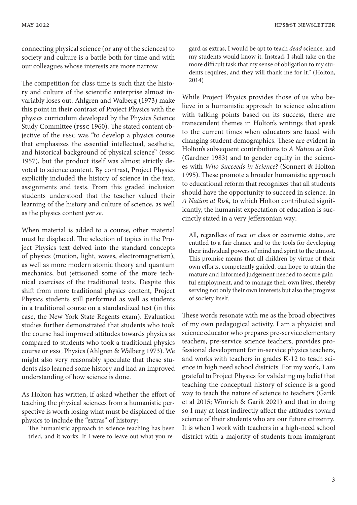connecting physical science (or any of the sciences) to society and culture is a battle both for time and with our colleagues whose interests are more narrow.

The competition for class time is such that the history and culture of the scientific enterprise almost invariably loses out. Ahlgren and Walberg (1973) make this point in their contrast of Project Physics with the physics curriculum developed by the Physics Science Study Committee (PSSC 1960). The stated content objective of the PSSC was "to develop a physics course that emphasizes the essential intellectual, aesthetic, and historical background of physical science" (PSSC 1957), but the product itself was almost strictly devoted to science content. By contrast, Project Physics explicitly included the history of science in the text, assignments and tests. From this graded inclusion students understood that the teacher valued their learning of the history and culture of science, as well as the physics content *per se*.

When material is added to a course, other material must be displaced. The selection of topics in the Project Physics text delved into the standard concepts of physics (motion, light, waves, electromagnetism), as well as more modern atomic theory and quantum mechanics, but jettisoned some of the more technical exercises of the traditional texts. Despite this shift from more traditional physics content, Project Physics students still performed as well as students in a traditional course on a standardized test (in this case, the New York State Regents exam). Evaluation studies further demonstrated that students who took the course had improved attitudes towards physics as compared to students who took a traditional physics course or PSSC Physics (Ahlgren & Walberg 1973). We might also very reasonably speculate that these students also learned some history and had an improved understanding of how science is done.

As Holton has written, if asked whether the effort of teaching the physical sciences from a humanistic perspective is worth losing what must be displaced of the physics to include the "extras" of history:

The humanistic approach to science teaching has been tried, and it works. If I were to leave out what you re-

gard as extras, I would be apt to teach *dead* science, and my students would know it. Instead, I shall take on the more difficult task that my sense of obligation to my students requires, and they will thank me for it." (Holton, 2014)

While Project Physics provides those of us who believe in a humanistic approach to science education with talking points based on its success, there are transcendent themes in Holton's writings that speak to the current times when educators are faced with changing student demographics. These are evident in Holton's subsequent contributions to *A Nation at Risk* (Gardner 1983) and to gender equity in the sciences with *Who Succeeds in Science?* (Sonnert & Holton 1995). These promote a broader humanistic approach to educational reform that recognizes that all students should have the opportunity to succeed in science*.* In *A Nation at Risk*, to which Holton contributed significantly, the humanist expectation of education is succinctly stated in a very Jeffersonian way:

All, regardless of race or class or economic status, are entitled to a fair chance and to the tools for developing their individual powers of mind and spirit to the utmost. This promise means that all children by virtue of their own efforts, competently guided, can hope to attain the mature and informed judgement needed to secure gainful employment, and to manage their own lives, thereby serving not only their own interests but also the progress of society itself.

These words resonate with me as the broad objectives of my own pedagogical activity. I am a physicist and science educator who prepares pre-service elementary teachers, pre-service science teachers, provides professional development for in-service physics teachers, and works with teachers in grades K-12 to teach science in high need school districts. For my work, I am grateful to Project Physics for validating my belief that teaching the conceptual history of science is a good way to teach the nature of science to teachers (Garik et al 2015; Winrich & Garik 2021) and that in doing so I may at least indirectly affect the attitudes toward science of their students who are our future citizenry. It is when I work with teachers in a high-need school district with a majority of students from immigrant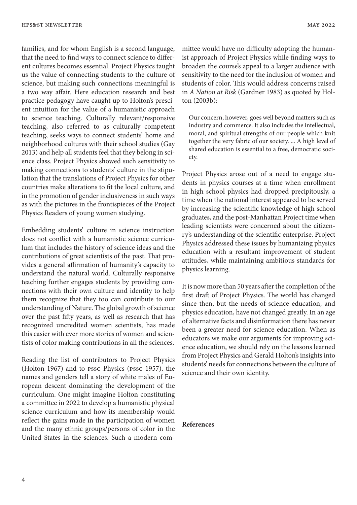families, and for whom English is a second language, that the need to find ways to connect science to different cultures becomes essential. Project Physics taught us the value of connecting students to the culture of science, but making such connections meaningful is a two way affair. Here education research and best practice pedagogy have caught up to Holton's prescient intuition for the value of a humanistic approach to science teaching. Culturally relevant/responsive teaching, also referred to as culturally competent teaching, seeks ways to connect students' home and neighborhood cultures with their school studies (Gay 2013) and help all students feel that they belong in science class. Project Physics showed such sensitivity to making connections to students' culture in the stipulation that the translations of Project Physics for other countries make alterations to fit the local culture, and in the promotion of gender inclusiveness in such ways as with the pictures in the frontispieces of the Project Physics Readers of young women studying.

Embedding students' culture in science instruction does not conflict with a humanistic science curriculum that includes the history of science ideas and the contributions of great scientists of the past. That provides a general affirmation of humanity's capacity to understand the natural world. Culturally responsive teaching further engages students by providing connections with their own culture and identity to help them recognize that they too can contribute to our understanding of Nature. The global growth of science over the past fifty years, as well as research that has recognized uncredited women scientists, has made this easier with ever more stories of women and scientists of color making contributions in all the sciences.

Reading the list of contributors to Project Physics (Holton 1967) and to PSSC Physics (PSSC 1957), the names and genders tell a story of white males of European descent dominating the development of the curriculum. One might imagine Holton constituting a committee in 2022 to develop a humanistic physical science curriculum and how its membership would reflect the gains made in the participation of women and the many ethnic groups/persons of color in the United States in the sciences. Such a modern committee would have no difficulty adopting the humanist approach of Project Physics while finding ways to broaden the course's appeal to a larger audience with sensitivity to the need for the inclusion of women and students of color. This would address concerns raised in *A Nation at Risk* (Gardner 1983) as quoted by Holton (2003b):

Our concern, however, goes well beyond matters such as industry and commerce. It also includes the intellectual, moral, and spiritual strengths of our people which knit together the very fabric of our society. ... A high level of shared education is essential to a free, democratic society.

Project Physics arose out of a need to engage students in physics courses at a time when enrollment in high school physics had dropped precipitously, a time when the national interest appeared to be served by increasing the scientific knowledge of high school graduates, and the post-Manhattan Project time when leading scientists were concerned about the citizenry's understanding of the scientific enterprise. Project Physics addressed these issues by humanizing physics education with a resultant improvement of student attitudes, while maintaining ambitious standards for physics learning.

It is now more than 50 years after the completion of the first draft of Project Physics. The world has changed since then, but the needs of science education, and physics education, have not changed greatly. In an age of alternative facts and disinformation there has never been a greater need for science education. When as educators we make our arguments for improving science education, we should rely on the lessons learned from Project Physics and Gerald Holton's insights into students' needs for connections between the culture of science and their own identity.

## **References**